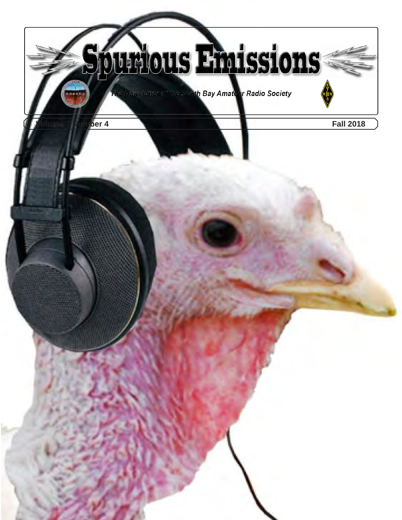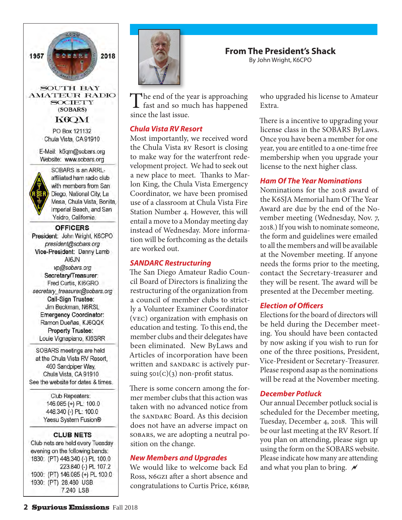

**AMATEUR RADIO SOCIETY** (SOBARS)

K6QM

PO Box 121132 Chula Vista, CA 91910

E-Mail: k6qm@sobars.org Website: www.sobars.org



SOBARS is an ARRLaffiliated ham radio club with members from San Diego, National City, La Mesa, Chula Vista, Bonita, Imperial Beach, and San Ysidro, California.

#### **OFFICERS**

President: John Wright, K6CPO president@sobars.org Vice-President: Danny Lamb AI6JN vp@sobars.org Secretary/Treasurer: Fred Curtis, KI6GRO secretary\_treasurer@sobars.org Call-Sign Trustee: Jim Beckman, N6RSL **Emergency Coordinator:** Ramon Dueñas, KJ6QQK Property Trustee: Louie Vignapiano, KI6SRR

SOBARS meetings are held at the Chula Vista RV Resort. 460 Sandpiper Way, Chula Vista, CA 91910 See the website for dates & times.

> Club Repeaters: 146.085 (+) PL: 100.0 448.340 (-) PL: 100.0 Yaesu System Fusion®

#### **CLUB NETS**

Club nets are held every Tuesday evening on the following bands: 1830: (PT) 448.340 (-) PL 100.0 223.840 (-) PL 107.2 1900: (PT) 146.085 (+) PL 100.0 1930: (PT) 28.480 USB 7.240 LSB



The end of the year is approaching<br>fast and so much has happened since the last issue.

### *Chula Vista RV Resort*

Most importantly, we received word the Chula Vista RV Resort is closing to make way for the waterfront redevelopment project. We had to seek out a new place to meet. Thanks to Marlon King, the Chula Vista Emergency Coordinator, we have been promised use of a classroom at Chula Vista Fire Station Number 4. However, this will entail a move to a Monday meeting day instead of Wednesday. More information will be forthcoming as the details are worked out.

### *SANDARC Restructuring*

The San Diego Amateur Radio Council Board of Directors is finalizing the restructuring of the organization from a council of member clubs to strictly a Volunteer Examiner Coordinator (VEC) organization with emphasis on education and testing. To this end, the member clubs and their delegates have been eliminated. New ByLaws and Articles of incorporation have been written and SANDARC is actively pursuing  $501(C)(3)$  non-profit status.

There is some concern among the former member clubs that this action was taken with no advanced notice from the SANDARC Board. As this decision does not have an adverse impact on SOBARS, we are adopting a neutral position on the change.

### *New Members and Upgrades*

We would like to welcome back Ed Ross, N6GZI after a short absence and congratulations to Curtis Price, K6IBP, who upgraded his license to Amateur Extra.

**From The President's Shack** By John Wright, K6CPO

> There is a incentive to upgrading your license class in the SOBARS ByLaws. Once you have been a member for one year, you are entitled to a one-time free membership when you upgrade your license to the next higher class.

### *Ham Of The Year Nominations*

Nominations for the 2018 award of the K6SJA Memorial ham Of The Year Award are due by the end of the November meeting (Wednesday, Nov. 7, 2018.) If you wish to nominate someone, the form and guidelines were emailed to all the members and will be available at the November meeting. If anyone needs the forms prior to the meeting, contact the Secretary-treasurer and they will be resent. The award will be presented at the December meeting.

### *Election of Officers*

Elections for the board of directors will be held during the December meeting. You should have been contacted by now asking if you wish to run for one of the three positions, President, Vice-President or Secretary-Treasurer. Please respond asap as the nominations will be read at the November meeting.

### *December Potluck*

Our annual December potluck social is scheduled for the December meeting, Tuesday, December 4, 2018. This will be our last meeting at the RV Resort. If you plan on attending, please sign up using the form on the SOBARS website. Please indicate how many are attending and what you plan to bring.  $\rlap{\pi}$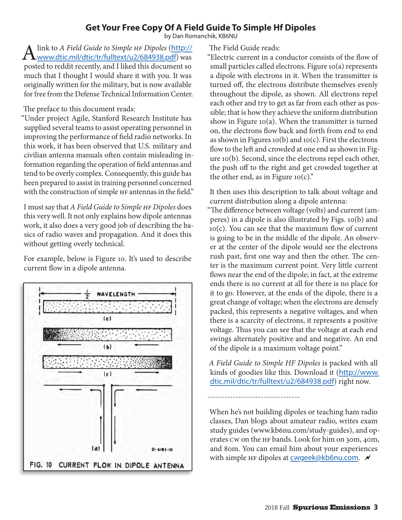# **Get Your Free Copy Of A Field Guide To Simple Hf Dipoles**

by Dan Romanchik, KB6NU

A link to *A Field Guide to Simple HF Dipoles* ([http://](http://www.dtic.mil/dtic/tr/fulltext/u2/684938.pdf)<br>[www.dtic.mil/dtic/tr/fulltext/u2/684938.pdf](http://www.dtic.mil/dtic/tr/fulltext/u2/684938.pdf)) was posted to reddit recently, and I liked this document so much that I thought I would share it with you. It was originally written for the military, but is now available for free from the Defense Technical Information Center.

The preface to this document reads:

"Under project Agile, Stanford Research Institute has supplied several teams to assist operating personnel in improving the performance of field radio networks. In this work, it has been observed that U.S. military and civilian antenna manuals often contain misleading information regarding the operation of field antennas and tend to be overly complex. Consequently, this guide has been prepared to assist in training personnel concerned with the construction of simple HF antennas in the field."

I must say that *A Field Guide to Simple HF Dipoles* does this very well. It not only explains how dipole antennas work, it also does a very good job of describing the basics of radio waves and propagation. And it does this without getting overly technical.

For example, below is Figure 10. It's used to describe current flow in a dipole antenna.



The Field Guide reads:

"Electric current in a conductor consists of the flow of small particles called electrons. Figure 10(a) represents a dipole with electrons in it. When the transmitter is turned off, the electrons distribute themselves evenly throughout the dipole, as shown. All electrons repel each other and try to get as far from each other as possible; that is how they achieve the uniform distribution show in Figure 10(a). When the transmitter is turned on, the electrons flow back and forth from end to end as shown in Figures 10(b) and 10(c). First the electrons flow to the left and crowded at one end as shown in Figure 10(b). Second, since the electrons repel each other, the push off to the right and get crowded together at the other end, as in Figure 10(c)."

It then uses this description to talk about voltage and current distribution along a dipole antenna:

"The difference between voltage (volts) and current (amperes) in a dipole is also illustrated by Figs. 10(b) and 10(c). You can see that the maximum flow of current is going to be in the middle of the dipole. An observer at the center of the dipole would see the electrons rush past, first one way and then the other. The center is the maximum current point. Very little current flows near the end of the dipole; in fact, at the extreme ends there is no current at all for there is no place for it to go. However, at the ends of the dipole, there is a great change of voltage; when the electrons are densely packed, this represents a negative voltages, and when there is a scarcity of electrons, it represents a positive voltage. Thus you can see that the voltage at each end swings alternately positive and and negative. An end of the dipole is a maximum voltage point."

*A Field Guide to Simple HF Dipoles* is packed with all kinds of goodies like this. Download it ([http://www.](http://www.dtic.mil/dtic/tr/fulltext/u2/684938.pdf) [dtic.mil/dtic/tr/fulltext/u2/684938.pdf](http://www.dtic.mil/dtic/tr/fulltext/u2/684938.pdf)) right now.

---------------------------------

When he's not building dipoles or teaching ham radio classes, Dan blogs about amateur radio, writes exam study guides [\(www.kb6nu.com/study-guides](http://www.kb6nu.com/study-guides)), and operates CW on the HF bands. Look for him on 30m, 40m, and 80m. You can email him about your experiences with simple HF dipoles at  $c$ wgeek@kb6nu.com.  $\mathcal N$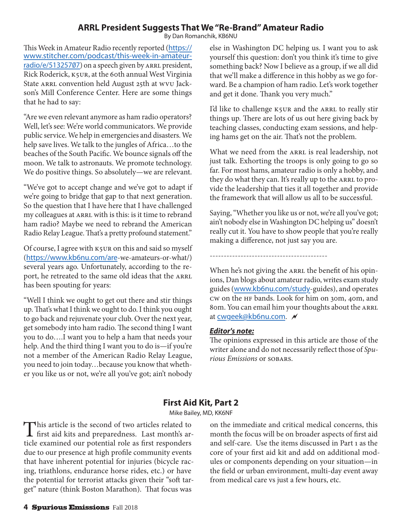## **ARRL President Suggests That We "Re-Brand" Amateur Radio**

By Dan Romanchik, KB6NU

This Week in Amateur Radio recently reported ([https://](https://www.stitcher.com/podcast/this-week-in-amateur-radio/e/51325707) [www.stitcher.com/podcast/this-week-in-amateur](https://www.stitcher.com/podcast/this-week-in-amateur-radio/e/51325707)[radio/e/51325707](https://www.stitcher.com/podcast/this-week-in-amateur-radio/e/51325707)) on a speech given by ARRL president, Rick Roderick, K5UR, at the 60th annual West Virginia State ARRL convention held August 25th at WVU Jackson's Mill Conference Center. Here are some things that he had to say:

"Are we even relevant anymore as ham radio operators? Well, let's see: We're world communicators. We provide public service. We help in emergencies and disasters. We help save lives. We talk to the jungles of Africa…to the beaches of the South Pacific. We bounce signals off the moon. We talk to astronauts. We promote technology. We do positive things. So absolutely—we are relevant.

"We've got to accept change and we've got to adapt if we're going to bridge that gap to that next generation. So the question that I have here that I have challenged my colleagues at ARRL with is this: is it time to rebrand ham radio? Maybe we need to rebrand the American Radio Relay League. That's a pretty profound statement."

Of course, I agree with K5UR on this and said so myself (<https://www.kb6nu.com/are>-we-amateurs-or-what/) several years ago. Unfortunately, according to the report, he retreated to the same old ideas that the ARRL has been spouting for years:

"Well I think we ought to get out there and stir things up. That's what I think we ought to do. I think you ought to go back and rejuvenate your club. Over the next year, get somebody into ham radio. The second thing I want you to do….I want you to help a ham that needs your help. And the third thing I want you to do is—if you're not a member of the American Radio Relay League, you need to join today…because you know that whether you like us or not, we're all you've got; ain't nobody

else in Washington DC helping us. I want you to ask yourself this question: don't you think it's time to give something back? Now I believe as a group, if we all did that we'll make a difference in this hobby as we go forward. Be a champion of ham radio. Let's work together and get it done. Thank you very much."

I'd like to challenge K5UR and the ARRL to really stir things up. There are lots of us out here giving back by teaching classes, conducting exam sessions, and helping hams get on the air. That's not the problem.

What we need from the ARRL is real leadership, not just talk. Exhorting the troops is only going to go so far. For most hams, amateur radio is only a hobby, and they do what they can. It's really up to the ARRL to provide the leadership that ties it all together and provide the framework that will allow us all to be successful.

Saying, "Whether you like us or not, we're all you've got; ain't nobody else in Washington DC helping us" doesn't really cut it. You have to show people that you're really making a difference, not just say you are.

------------------------------------------

When he's not giving the ARRL the benefit of his opinions, Dan blogs about amateur radio, writes exam study guides (<www.kb6nu.com/study>-guides), and operates CW on the HF bands. Look for him on 30m, 40m, and 80m. You can email him your thoughts about the ARRL at [cwgeek@kb6nu.com](mailto:cwgeek@kb6nu.com).

### *Editor's note:*

The opinions expressed in this article are those of the writer alone and do not necessarily reflect those of *Spurious Emissions* or SOBARS.

# **First Aid Kit, Part 2**

Mike Bailey, MD, KK6NF

This article is the second of two articles related to first aid kits and preparedness. Last month's article is a continuation of the continuation of the continuation of the continuation of the continuation of the continuat ticle examined our potential role as first responders due to our presence at high profile community events that have inherent potential for injuries (bicycle racing, triathlons, endurance horse rides, etc.) or have the potential for terrorist attacks given their "soft target" nature (think Boston Marathon). That focus was

on the immediate and critical medical concerns, this month the focus will be on broader aspects of first aid and self-care. Use the items discussed in Part 1 as the core of your first aid kit and add on additional modules or components depending on your situation—in the field or urban environment, multi-day event away from medical care vs just a few hours, etc.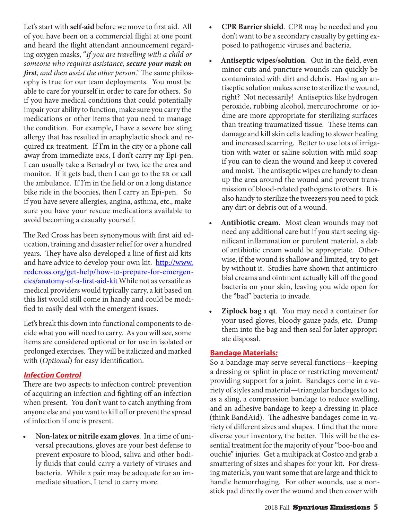Let's start with **self-aid** before we move to first aid. All of you have been on a commercial flight at one point and heard the flight attendant announcement regarding oxygen masks, "*If you are travelling with a child or someone who requires assistance, secure your mask on first, and then assist the other person."* The same philosophy is true for our team deployments. You must be able to care for yourself in order to care for others. So if you have medical conditions that could potentially impair your ability to function, make sure you carry the medications or other items that you need to manage the condition. For example, I have a severe bee sting allergy that has resulted in anaphylactic shock and required ER treatment. If I'm in the city or a phone call away from immediate EMS, I don't carry my Epi-pen. I can usually take a Benadryl or two, ice the area and monitor. If it gets bad, then I can go to the ER or call the ambulance. If I'm in the field or on a long distance bike ride in the boonies, then I carry an Epi-pen. So if you have severe allergies, angina, asthma, etc., make sure you have your rescue medications available to avoid becoming a casualty yourself.

The Red Cross has been synonymous with first aid education, training and disaster relief for over a hundred years. They have also developed a line of first aid kits and have advice to develop your own kit. [http://www.](http://www.redcross.org/get-help/how-to-prepare-for-emergencies/anatomy-of-a-first-aid-kit) [redcross.org/get-help/how-to-prepare-for-emergen](http://www.redcross.org/get-help/how-to-prepare-for-emergencies/anatomy-of-a-first-aid-kit)[cies/anatomy-of-a-first-aid-kit](http://www.redcross.org/get-help/how-to-prepare-for-emergencies/anatomy-of-a-first-aid-kit) While not as versatile as medical providers would typically carry, a kit based on this list would still come in handy and could be modified to easily deal with the emergent issues.

Let's break this down into functional components to decide what you will need to carry. As you will see, some items are considered optional or for use in isolated or prolonged exercises. They will be italicized and marked with (*Optional*) for easy identification.

### *Infection Control*

There are two aspects to infection control: prevention of acquiring an infection and fighting off an infection when present. You don't want to catch anything from anyone else and you want to kill off or prevent the spread of infection if one is present.

**• Non-latex or nitrile exam gloves**. In a time of universal precautions, gloves are your best defense to prevent exposure to blood, saliva and other bodily fluids that could carry a variety of viruses and bacteria. While 2 pair may be adequate for an immediate situation, I tend to carry more.

- **CPR Barrier shield.** CPR may be needed and you don't want to be a secondary casualty by getting exposed to pathogenic viruses and bacteria.
- Antiseptic wipes/solution. Out in the field, even minor cuts and puncture wounds can quickly be contaminated with dirt and debris. Having an antiseptic solution makes sense to sterilize the wound, right? Not necessarily! Antiseptics like hydrogen peroxide, rubbing alcohol, mercurochrome or iodine are more appropriate for sterilizing surfaces than treating traumatized tissue. These items can damage and kill skin cells leading to slower healing and increased scarring. Better to use lots of irrigation with water or saline solution with mild soap if you can to clean the wound and keep it covered and moist. The antiseptic wipes are handy to clean up the area around the wound and prevent transmission of blood-related pathogens to others. It is also handy to sterilize the tweezers you need to pick any dirt or debris out of a wound.
- Antibiotic cream. Most clean wounds may not need any additional care but if you start seeing significant inflammation or purulent material, a dab of antibiotic cream would be appropriate. Otherwise, if the wound is shallow and limited, try to get by without it. Studies have shown that antimicrobial creams and ointment actually kill off the good bacteria on your skin, leaving you wide open for the "bad" bacteria to invade.
- *Ziplock* **bag 1 qt**. You may need a container for your used gloves, bloody gauze pads, etc. Dump them into the bag and then seal for later appropriate disposal.

## **Bandage Materials***:*

So a bandage may serve several functions—keeping a dressing or splint in place or restricting movement/ providing support for a joint. Bandages come in a variety of styles and material—triangular bandages to act as a sling, a compression bandage to reduce swelling, and an adhesive bandage to keep a dressing in place (think BandAid). The adhesive bandages come in variety of different sizes and shapes. I find that the more diverse your inventory, the better. This will be the essential treatment for the majority of your "boo-boo and ouchie" injuries. Get a multipack at Costco and grab a smattering of sizes and shapes for your kit. For dressing materials, you want some that are large and thick to handle hemorrhaging. For other wounds, use a nonstick pad directly over the wound and then cover with